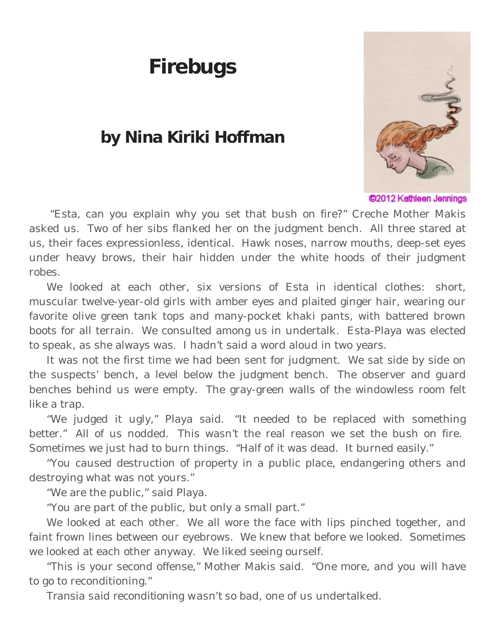## **Firebugs**

## **by Nina Kiriki Hoffman**



C<sub>2012</sub> Kathleen Jennings

"Esta, can you explain why you set that bush on fire?" Creche Mother Makis asked us. Two of her sibs flanked her on the judgment bench. All three stared at us, their faces expressionless, identical. Hawk noses, narrow mouths, deep-set eyes under heavy brows, their hair hidden under the white hoods of their judgment robes.

We looked at each other, six versions of Esta in identical clothes: short, muscular twelve-year-old girls with amber eyes and plaited ginger hair, wearing our favorite olive green tank tops and many-pocket khaki pants, with battered brown boots for all terrain. We consulted among us in undertalk. Esta-Playa was elected to speak, as she always was. I hadn't said a word aloud in two years.

It was not the first time we had been sent for judgment. We sat side by side on the suspects' bench, a level below the judgment bench. The observer and guard benches behind us were empty. The gray-green walls of the windowless room felt like a trap.

"We judged it ugly," Playa said. "It needed to be replaced with something better." All of us nodded. This wasn't the real reason we set the bush on fire. Sometimes we just had to burn things. "Half of it was dead. It burned easily."

"You caused destruction of property in a public place, endangering others and destroying what was not yours."

"We are the public," said Playa.

"You are part of the public, but only a small part."

We looked at each other. We all wore the face with lips pinched together, and faint frown lines between our eyebrows. We knew that before we looked. Sometimes we looked at each other anyway. We liked seeing ourself.

"This is your second offense," Mother Makis said. "One more, and you will have to go to reconditioning."

*Transia said reconditioning wasn't so bad,* one of us undertalked.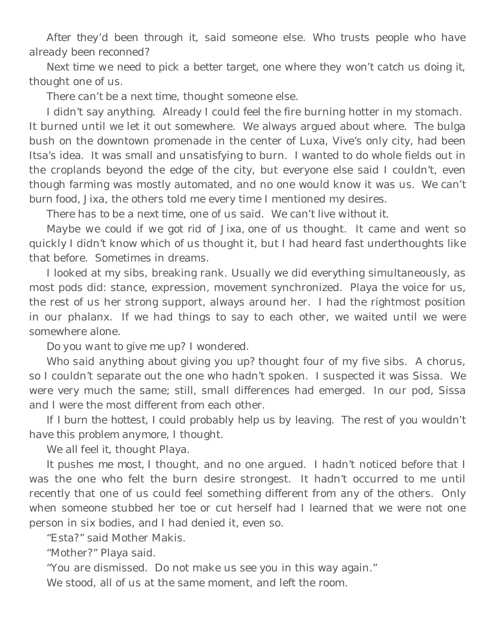*After they'd been through it*, said someone else. *Who trusts people who have already been reconned?*

*Next time we need to pick a better target, one where they won't catch us doing it*, thought one of us.

*There can't be a next time*, thought someone else.

I didn't say anything. Already I could feel the fire burning hotter in my stomach. It burned until we let it out somewhere. We always argued about where. The bulga bush on the downtown promenade in the center of Luxa, Vive's only city, had been Itsa's idea. It was small and unsatisfying to burn. I wanted to do whole fields out in the croplands beyond the edge of the city, but everyone else said I couldn't, even though farming was mostly automated, and no one would know it was us. *We can't burn* food*, Jixa*, the others told me every time I mentioned my desires.

*There has to be a next time,* one of us said. *We can't live without it.*

*Maybe we could if we got rid of Jixa,* one of us thought. It came and went so quickly I didn't know which of us thought it, but I had heard fast underthoughts like that before. Sometimes in dreams.

I looked at my sibs, breaking rank. Usually we did everything simultaneously, as most pods did: stance, expression, movement synchronized. Playa the voice for us, the rest of us her strong support, always around her. I had the rightmost position in our phalanx. If we had things to say to each other, we waited until we were somewhere alone.

*Do you want to give me up?* I wondered.

*Who said anything about giving you up?* thought four of my five sibs. A chorus, so I couldn't separate out the one who hadn't spoken. I suspected it was Sissa. We were very much the same; still, small differences had emerged. In our pod, Sissa and I were the most different from each other.

*If I burn the hottest, I could probably help us by leaving. The rest of you wouldn't have this problem anymore*, I thought.

*We all feel it*, thought Playa.

*It pushes me most,* I thought, and no one argued. I hadn't noticed before that I was the one who felt the burn desire strongest. It hadn't occurred to me until recently that one of us could feel something different from any of the others. Only when someone stubbed her toe or cut herself had I learned that we were not one person in six bodies, and I had denied it, even so.

"Esta?" said Mother Makis.

"Mother?" Playa said.

"You are dismissed. Do not make us see you in this way again."

We stood, all of us at the same moment, and left the room.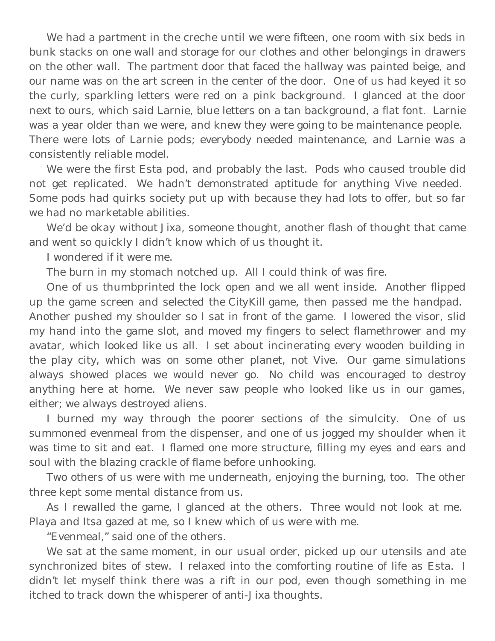We had a partment in the creche until we were fifteen, one room with six beds in bunk stacks on one wall and storage for our clothes and other belongings in drawers on the other wall. The partment door that faced the hallway was painted beige, and our name was on the art screen in the center of the door. One of us had keyed it so the curly, sparkling letters were red on a pink background. I glanced at the door next to ours, which said Larnie, blue letters on a tan background, a flat font. Larnie was a year older than we were, and knew they were going to be maintenance people. There were lots of Larnie pods; everybody needed maintenance, and Larnie was a consistently reliable model.

We were the first Esta pod, and probably the last. Pods who caused trouble did not get replicated. We hadn't demonstrated aptitude for anything Vive needed. Some pods had quirks society put up with because they had lots to offer, but so far we had no marketable abilities.

*We'd be okay without Jixa*, someone thought, another flash of thought that came and went so quickly I didn't know which of us thought it.

I wondered if it were me.

The burn in my stomach notched up. All I could think of was fire.

One of us thumbprinted the lock open and we all went inside. Another flipped up the game screen and selected the *CityKill* game, then passed me the handpad. Another pushed my shoulder so I sat in front of the game. I lowered the visor, slid

my hand into the game slot, and moved my fingers to select flamethrower and my avatar, which looked like us all. I set about incinerating every wooden building in the play city, which was on some other planet, not Vive. Our game simulations always showed places we would never go. No child was encouraged to destroy anything here at home. We never saw people who looked like us in our games, either; we always destroyed aliens.

I burned my way through the poorer sections of the simulcity. One of us summoned evenmeal from the dispenser, and one of us jogged my shoulder when it was time to sit and eat. I flamed one more structure, filling my eyes and ears and soul with the blazing crackle of flame before unhooking.

Two others of us were with me underneath, enjoying the burning, too. The other three kept some mental distance from us.

As I rewalled the game, I glanced at the others. Three would not look at me. Playa and Itsa gazed at me, so I knew which of us were with me.

"Evenmeal," said one of the others.

We sat at the same moment, in our usual order, picked up our utensils and ate synchronized bites of stew. I relaxed into the comforting routine of life as Esta. I didn't let myself think there was a rift in our pod, even though something in me itched to track down the whisperer of anti-Jixa thoughts.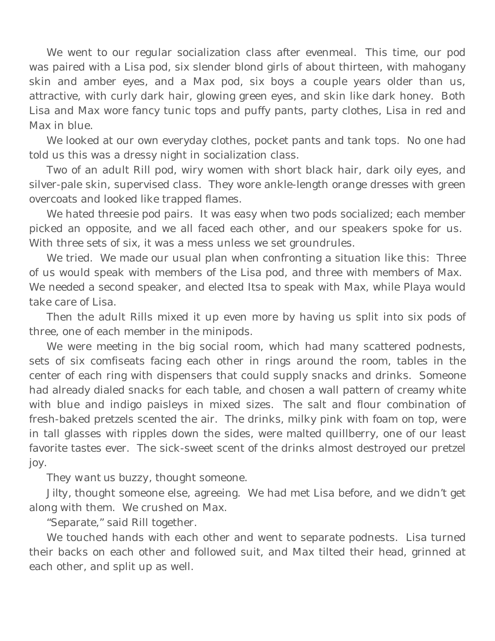We went to our regular socialization class after evenmeal. This time, our pod was paired with a Lisa pod, six slender blond girls of about thirteen, with mahogany skin and amber eyes, and a Max pod, six boys a couple years older than us, attractive, with curly dark hair, glowing green eyes, and skin like dark honey. Both Lisa and Max wore fancy tunic tops and puffy pants, party clothes, Lisa in red and Max in blue.

We looked at our own everyday clothes, pocket pants and tank tops. No one had told us this was a dressy night in socialization class.

Two of an adult Rill pod, wiry women with short black hair, dark oily eyes, and silver-pale skin, supervised class. They wore ankle-length orange dresses with green overcoats and looked like trapped flames.

We hated threesie pod pairs. It was easy when two pods socialized; each member picked an opposite, and we all faced each other, and our speakers spoke for us. With three sets of six, it was a mess unless we set groundrules.

We tried. We made our usual plan when confronting a situation like this: Three of us would speak with members of the Lisa pod, and three with members of Max. We needed a second speaker, and elected Itsa to speak with Max, while Playa would take care of Lisa.

Then the adult Rills mixed it up even more by having us split into six pods of three, one of each member in the minipods.

We were meeting in the big social room, which had many scattered podnests, sets of six comfiseats facing each other in rings around the room, tables in the center of each ring with dispensers that could supply snacks and drinks. Someone had already dialed snacks for each table, and chosen a wall pattern of creamy white with blue and indigo paisleys in mixed sizes. The salt and flour combination of fresh-baked pretzels scented the air. The drinks, milky pink with foam on top, were in tall glasses with ripples down the sides, were malted quillberry, one of our least favorite tastes ever. The sick-sweet scent of the drinks almost destroyed our pretzel joy.

*They want us buzzy,* thought someone.

*Jilty,* thought someone else, agreeing. We had met Lisa before, and we didn't get along with them. We crushed on Max.

"Separate," said Rill together.

We touched hands with each other and went to separate podnests. Lisa turned their backs on each other and followed suit, and Max tilted their head, grinned at each other, and split up as well.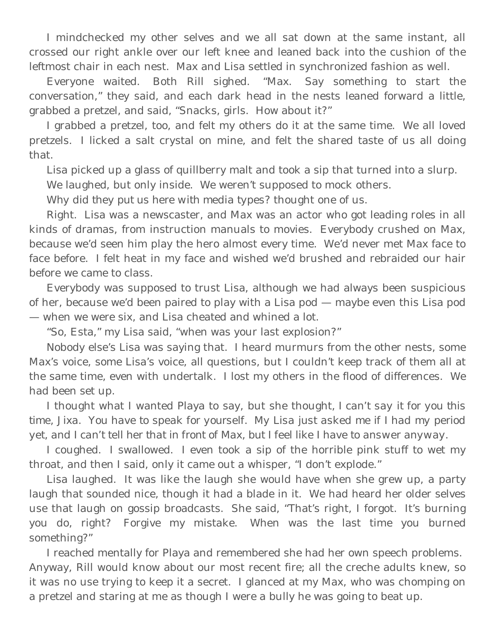I mindchecked my other selves and we all sat down at the same instant, all crossed our right ankle over our left knee and leaned back into the cushion of the leftmost chair in each nest. Max and Lisa settled in synchronized fashion as well.

Everyone waited. Both Rill sighed. "Max. Say something to start the conversation," they said, and each dark head in the nests leaned forward a little, grabbed a pretzel, and said, "Snacks, girls. How about it?"

I grabbed a pretzel, too, and felt my others do it at the same time. We all loved pretzels. I licked a salt crystal on mine, and felt the shared taste of us all doing that.

Lisa picked up a glass of quillberry malt and took a sip that turned into a slurp.

We laughed, but only inside. We weren't supposed to mock others.

*Why did they put us here with media types?* thought one of us.

Right. Lisa was a newscaster, and Max was an actor who got leading roles in all kinds of dramas, from instruction manuals to movies. Everybody crushed on Max, because we'd seen him play the hero almost every time. We'd never met Max face to face before. I felt heat in my face and wished we'd brushed and rebraided our hair before we came to class.

Everybody was supposed to trust Lisa, although we had always been suspicious of her, because we'd been paired to play with a Lisa pod — maybe even this Lisa pod — when we were six, and Lisa cheated and whined a lot.

"So, Esta," my Lisa said, "when was your last explosion?"

Nobody else's Lisa was saying that. I heard murmurs from the other nests, some Max's voice, some Lisa's voice, all questions, but I couldn't keep track of them all at the same time, even with undertalk. I lost my others in the flood of differences. We had been set up.

I thought what I wanted Playa to say, but she thought, *I can't say it for you this time, Jixa. You have to speak for yourself. My Lisa just asked me if I had my period yet, and I can't tell her that in front of Max, but I feel like I have to answer anyway.*

I coughed. I swallowed. I even took a sip of the horrible pink stuff to wet my throat, and then I said, only it came out a whisper, "I don't explode."

Lisa laughed. It was like the laugh she would have when she grew up, a party laugh that sounded nice, though it had a blade in it. We had heard her older selves use that laugh on gossip broadcasts. She said, "That's right, I forgot. It's burning you do, right? Forgive my mistake. When was the last time you burned something?"

I reached mentally for Playa and remembered she had her own speech problems. Anyway, Rill would know about our most recent fire; all the creche adults knew, so it was no use trying to keep it a secret. I glanced at my Max, who was chomping on a pretzel and staring at me as though I were a bully he was going to beat up.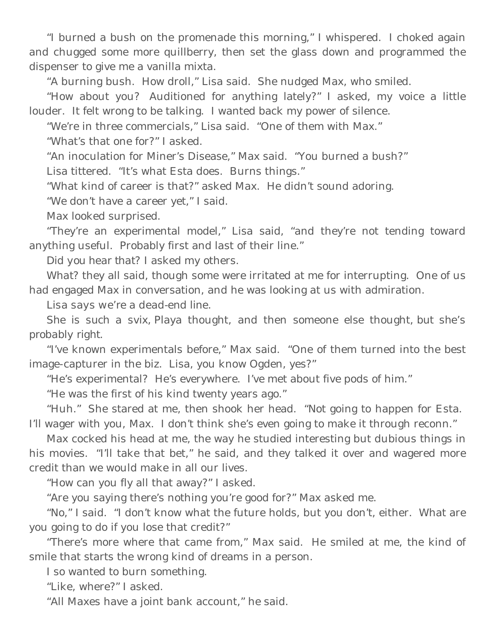"I burned a bush on the promenade this morning," I whispered. I choked again and chugged some more quillberry, then set the glass down and programmed the dispenser to give me a vanilla mixta.

"A burning bush. How droll," Lisa said. She nudged Max, who smiled.

"How about you? Auditioned for anything lately?" I asked, my voice a little louder. It felt wrong to be talking. I wanted back my power of silence.

"We're in three commercials," Lisa said. "One of them with Max."

"What's that one for?" I asked.

"An inoculation for Miner's Disease," Max said. "You burned a bush?"

Lisa tittered. "It's what Esta does. Burns things."

"What kind of career is that?" asked Max. He didn't sound adoring.

"We don't have a career yet," I said.

Max looked surprised.

"They're an experimental model," Lisa said, "and they're not tending toward anything useful. Probably first and last of their line."

*Did you hear that*? I asked my others.

*What?* they all said, though some were irritated at me for interrupting. One of us had engaged Max in conversation, and he was looking at us with admiration.

*Lisa says we're a dead-end line.*

*She is such a svix,* Playa thought, and then someone else thought, *but she's probably right.*

"I've known experimentals before," Max said. "One of them turned into the best image-capturer in the biz. Lisa, you know Ogden, yes?"

"He's experimental? He's everywhere. I've met about five pods of him."

"He was the first of his kind twenty years ago."

"Huh." She stared at me, then shook her head. "Not going to happen for Esta. I'll wager with you, Max. I don't think she's even going to make it through reconn."

Max cocked his head at me, the way he studied interesting but dubious things in his movies. "I'll take that bet," he said, and they talked it over and wagered more credit than we would make in all our lives.

"How can you fly all that away?" I asked.

"Are you saying there's nothing you're good for?" Max asked me.

"No," I said. "I don't know what the future holds, but you don't, either. What are you going to do if you lose that credit?"

"There's more where that came from," Max said. He smiled at me, the kind of smile that starts the wrong kind of dreams in a person.

I so wanted to burn something.

"Like, where?" I asked.

"All Maxes have a joint bank account," he said.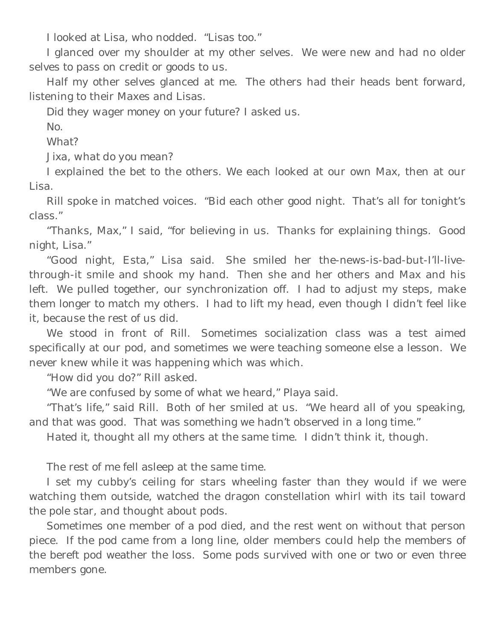I looked at Lisa, who nodded. "Lisas too."

I glanced over my shoulder at my other selves. We were new and had no older selves to pass on credit or goods to us.

Half my other selves glanced at me. The others had their heads bent forward, listening to their Maxes and Lisas.

*Did they wager money on your future*? I asked us.

*No.*

*What?* 

*Jixa, what do you mean?*

I explained the bet to the others. We each looked at our own Max, then at our Lisa.

Rill spoke in matched voices. "Bid each other good night. That's all for tonight's class."

"Thanks, Max," I said, "for believing in us. Thanks for explaining things. Good night, Lisa."

"Good night, Esta," Lisa said. She smiled her the-news-is-bad-but-I'll-livethrough-it smile and shook my hand. Then she and her others and Max and his left. We pulled together, our synchronization off. I had to adjust my steps, make them longer to match my others. I had to lift my head, even though I didn't feel like it, because the rest of us did.

We stood in front of Rill. Sometimes socialization class was a test aimed specifically at our pod, and sometimes we were teaching someone else a lesson. We never knew while it was happening which was which.

"How did you do?" Rill asked.

"We are confused by some of what we heard," Playa said.

"That's life," said Rill. Both of her smiled at us. "We heard all of you speaking, and that was good. That was something we hadn't observed in a long time."

*Hated it*, thought all my others at the same time. I didn't think it, though.

The rest of me fell asleep at the same time.

I set my cubby's ceiling for stars wheeling faster than they would if we were watching them outside, watched the dragon constellation whirl with its tail toward the pole star, and thought about pods.

Sometimes one member of a pod died, and the rest went on without that person piece. If the pod came from a long line, older members could help the members of the bereft pod weather the loss. Some pods survived with one or two or even three members gone.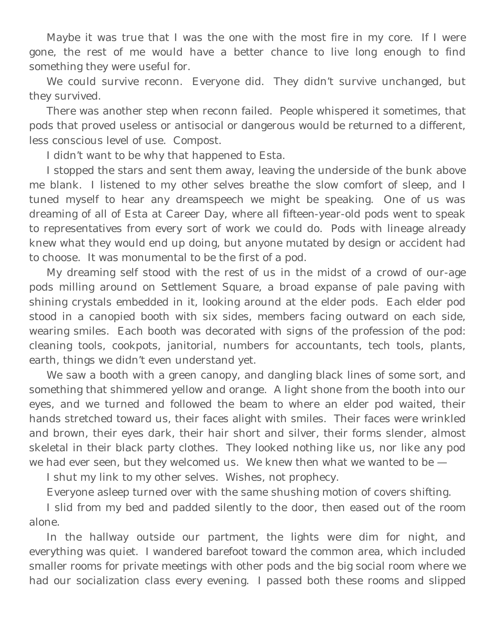Maybe it was true that I was the one with the most fire in my core. If I were gone, the rest of me would have a better chance to live long enough to find something they were useful for.

We could survive reconn. Everyone did. They didn't survive unchanged, but they survived.

There was another step when reconn failed. People whispered it sometimes, that pods that proved useless or antisocial or dangerous would be returned to a different, less conscious level of use. Compost.

I didn't want to be why that happened to Esta.

I stopped the stars and sent them away, leaving the underside of the bunk above me blank. I listened to my other selves breathe the slow comfort of sleep, and I tuned myself to hear any dreamspeech we might be speaking. One of us was dreaming of all of Esta at Career Day, where all fifteen-year-old pods went to speak to representatives from every sort of work we could do. Pods with lineage already knew what they would end up doing, but anyone mutated by design or accident had to choose. It was monumental to be the first of a pod.

My dreaming self stood with the rest of us in the midst of a crowd of our-age pods milling around on Settlement Square, a broad expanse of pale paving with shining crystals embedded in it, looking around at the elder pods. Each elder pod stood in a canopied booth with six sides, members facing outward on each side, wearing smiles. Each booth was decorated with signs of the profession of the pod: cleaning tools, cookpots, janitorial, numbers for accountants, tech tools, plants, earth, things we didn't even understand yet.

We saw a booth with a green canopy, and dangling black lines of some sort, and something that shimmered yellow and orange. A light shone from the booth into our eyes, and we turned and followed the beam to where an elder pod waited, their hands stretched toward us, their faces alight with smiles. Their faces were wrinkled and brown, their eyes dark, their hair short and silver, their forms slender, almost skeletal in their black party clothes. They looked nothing like us, nor like any pod we had ever seen, but they welcomed us. We knew then what we wanted to be —

I shut my link to my other selves. Wishes, not prophecy.

Everyone asleep turned over with the same shushing motion of covers shifting.

I slid from my bed and padded silently to the door, then eased out of the room alone.

In the hallway outside our partment, the lights were dim for night, and everything was quiet. I wandered barefoot toward the common area, which included smaller rooms for private meetings with other pods and the big social room where we had our socialization class every evening. I passed both these rooms and slipped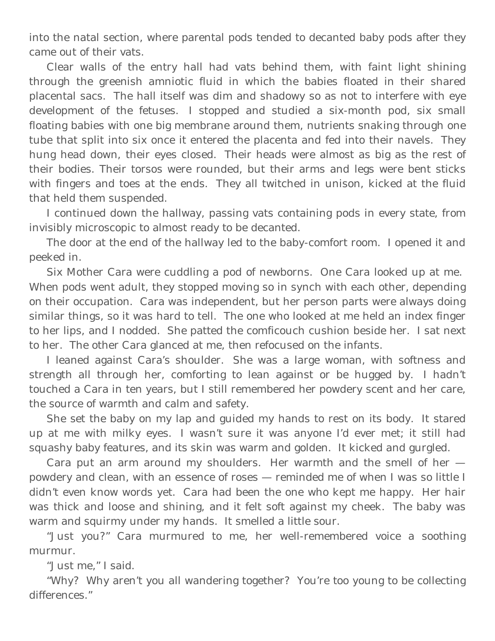into the natal section, where parental pods tended to decanted baby pods after they came out of their vats.

Clear walls of the entry hall had vats behind them, with faint light shining through the greenish amniotic fluid in which the babies floated in their shared placental sacs. The hall itself was dim and shadowy so as not to interfere with eye development of the fetuses. I stopped and studied a six-month pod, six small floating babies with one big membrane around them, nutrients snaking through one tube that split into six once it entered the placenta and fed into their navels. They hung head down, their eyes closed. Their heads were almost as big as the rest of their bodies. Their torsos were rounded, but their arms and legs were bent sticks with fingers and toes at the ends. They all twitched in unison, kicked at the fluid that held them suspended.

I continued down the hallway, passing vats containing pods in every state, from invisibly microscopic to almost ready to be decanted.

The door at the end of the hallway led to the baby-comfort room. I opened it and peeked in.

Six Mother Cara were cuddling a pod of newborns. One Cara looked up at me. When pods went adult, they stopped moving so in synch with each other, depending on their occupation. Cara was independent, but her person parts were always doing similar things, so it was hard to tell. The one who looked at me held an index finger to her lips, and I nodded. She patted the comficouch cushion beside her. I sat next to her. The other Cara glanced at me, then refocused on the infants.

I leaned against Cara's shoulder. She was a large woman, with softness and strength all through her, comforting to lean against or be hugged by. I hadn't touched a Cara in ten years, but I still remembered her powdery scent and her care, the source of warmth and calm and safety.

She set the baby on my lap and guided my hands to rest on its body. It stared up at me with milky eyes. I wasn't sure it was anyone I'd ever met; it still had squashy baby features, and its skin was warm and golden. It kicked and gurgled.

Cara put an arm around my shoulders. Her warmth and the smell of her powdery and clean, with an essence of roses — reminded me of when I was so little I didn't even know words yet. Cara had been the one who kept me happy. Her hair was thick and loose and shining, and it felt soft against my cheek. The baby was warm and squirmy under my hands. It smelled a little sour.

"Just you?" Cara murmured to me, her well-remembered voice a soothing murmur.

"Just me," I said.

"Why? Why aren't you all wandering together? You're too young to be collecting differences."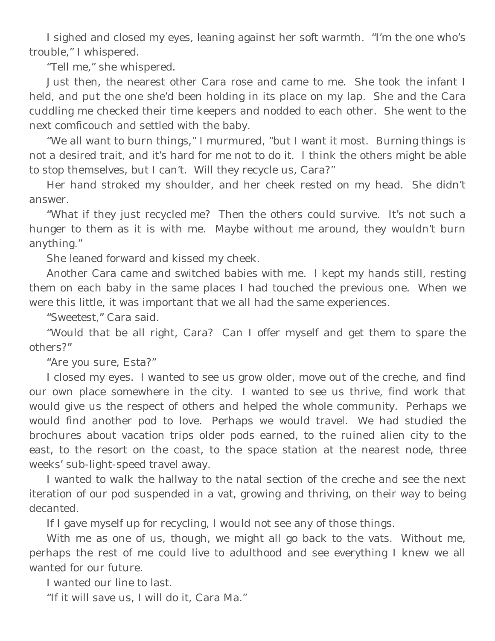I sighed and closed my eyes, leaning against her soft warmth. "I'm the one who's trouble," I whispered.

"Tell me," she whispered.

Just then, the nearest other Cara rose and came to me. She took the infant I held, and put the one she'd been holding in its place on my lap. She and the Cara cuddling me checked their time keepers and nodded to each other. She went to the next comficouch and settled with the baby.

"We all want to burn things," I murmured, "but I want it most. Burning things is not a desired trait, and it's hard for me not to do it. I think the others might be able to stop themselves, but I can't. Will they recycle us, Cara?"

Her hand stroked my shoulder, and her cheek rested on my head. She didn't answer.

"What if they just recycled *me*? Then the others could survive. It's not such a hunger to them as it is with me. Maybe without me around, they wouldn't burn anything."

She leaned forward and kissed my cheek.

Another Cara came and switched babies with me. I kept my hands still, resting them on each baby in the same places I had touched the previous one. When we were this little, it was important that we all had the same experiences.

"Sweetest," Cara said.

"Would that be all right, Cara? Can I offer myself and get them to spare the others?"

"Are you sure, Esta?"

I closed my eyes. I wanted to see us grow older, move out of the creche, and find our own place somewhere in the city. I wanted to see us thrive, find work that would give us the respect of others and helped the whole community. Perhaps we would find another pod to love. Perhaps we would travel. We had studied the brochures about vacation trips older pods earned, to the ruined alien city to the east, to the resort on the coast, to the space station at the nearest node, three weeks' sub-light-speed travel away.

I wanted to walk the hallway to the natal section of the creche and see the next iteration of our pod suspended in a vat, growing and thriving, on their way to being decanted.

If I gave myself up for recycling, I would not see any of those things.

With me as one of us, though, we might all go back to the vats. Without me, perhaps the rest of me could live to adulthood and see everything I knew we all wanted for our future.

I wanted our line to last.

"If it will save us, I will do it, Cara Ma."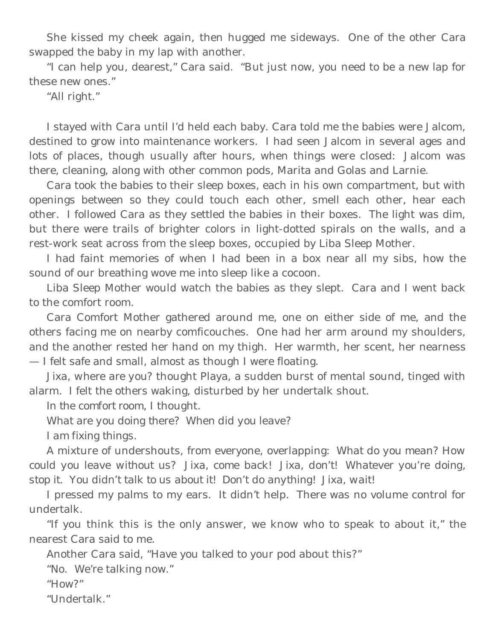She kissed my cheek again, then hugged me sideways. One of the other Cara swapped the baby in my lap with another.

"I can help you, dearest," Cara said. "But just now, you need to be a new lap for these new ones."

"All right."

I stayed with Cara until I'd held each baby. Cara told me the babies were Jalcom, destined to grow into maintenance workers. I had seen Jalcom in several ages and lots of places, though usually after hours, when things were closed: Jalcom was there, cleaning, along with other common pods, Marita and Golas and Larnie.

Cara took the babies to their sleep boxes, each in his own compartment, but with openings between so they could touch each other, smell each other, hear each other. I followed Cara as they settled the babies in their boxes. The light was dim, but there were trails of brighter colors in light-dotted spirals on the walls, and a rest-work seat across from the sleep boxes, occupied by Liba Sleep Mother.

I had faint memories of when I had been in a box near all my sibs, how the sound of our breathing wove me into sleep like a cocoon.

Liba Sleep Mother would watch the babies as they slept. Cara and I went back to the comfort room.

Cara Comfort Mother gathered around me, one on either side of me, and the others facing me on nearby comficouches. One had her arm around my shoulders, and the another rested her hand on my thigh. Her warmth, her scent, her nearness — I felt safe and small, almost as though I were floating.

*Jixa, where are you*? thought Playa, a sudden burst of mental sound, tinged with alarm. I felt the others waking, disturbed by her undertalk shout.

*In the comfort room,* I thought.

*What are you doing there? When did you leave?*

*I am fixing things.*

A mixture of undershouts, from everyone, overlapping: *What do you mean? How could you leave without us? Jixa, come back! Jixa, don't! Whatever you're doing, stop it. You didn't talk to us about it! Don't do anything! Jixa, wait!*

I pressed my palms to my ears. It didn't help. There was no volume control for undertalk.

"If you think this is the only answer, we know who to speak to about it," the nearest Cara said to me.

Another Cara said, "Have you talked to your pod about this?"

"No. We're talking now."

"How?"

"Undertalk."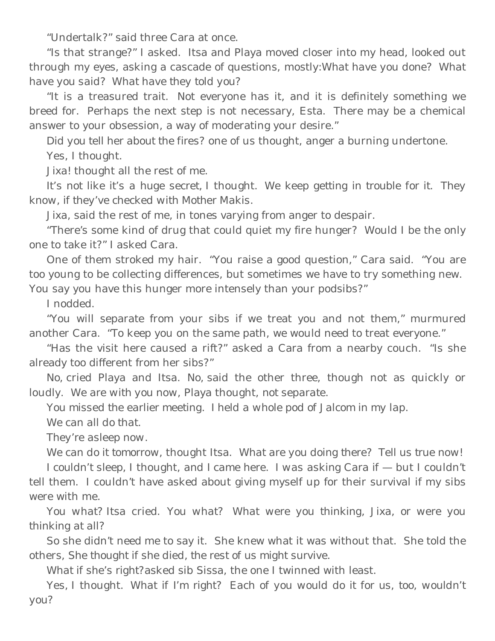"Undertalk?" said three Cara at once.

"Is that strange?" I asked. Itsa and Playa moved closer into my head, looked out through my eyes, asking a cascade of questions, mostly:*What have you done? What have you said? What have they told you?*

"It is a treasured trait. Not everyone has it, and it is definitely something we breed for. Perhaps the next step is not necessary, Esta. There may be a chemical answer to your obsession, a way of moderating your desire."

*Did you tell her about the fires?* one of us thought, anger a burning undertone. *Yes*, I thought.

*Jixa!* thought all the rest of me.

*It's not like it's a huge secret,* I thought. *We keep getting in trouble for it. They know, if they've checked with Mother Makis.*

*Jixa,* said the rest of me, in tones varying from anger to despair.

"There's some kind of drug that could quiet my fire hunger? Would I be the only one to take it?" I asked Cara.

One of them stroked my hair. "You raise a good question," Cara said. "You are too young to be collecting differences, but sometimes we have to try something new. You say you have this hunger more intensely than your podsibs?"

I nodded.

"You will separate from your sibs if we treat you and not them," murmured another Cara. "To keep you on the same path, we would need to treat everyone."

"Has the visit here caused a rift?" asked a Cara from a nearby couch. "Is she already too different from her sibs?"

*No,* cried Playa and Itsa. *No,* said the other three, though not as quickly or loudly. *We are with you now,* Playa thought, *not separate.*

*You missed the earlier meeting. I held a whole pod of Jalcom in my lap. We can all do that.*

*They're asleep now.*

*We can do it tomorrow,* thought Itsa. *What are you doing there? Tell us true now! I couldn't sleep,* I thought, *and I came here. I was asking Cara if —* but I couldn't tell them. I couldn't have asked about giving myself up for their survival if my sibs were with me.

*You what?* Itsa cried. *You what? What were you thinking, Jixa, or were you thinking at all?*

So she didn't need me to say it. She knew what it was without that. She told the others, *She thought if she died, the rest of us might survive.*

*What if she's right?*asked sib Sissa, the one I twinned with least.

*Yes,* I thought. *What if I'm right? Each of you would do it for us, too, wouldn't you?*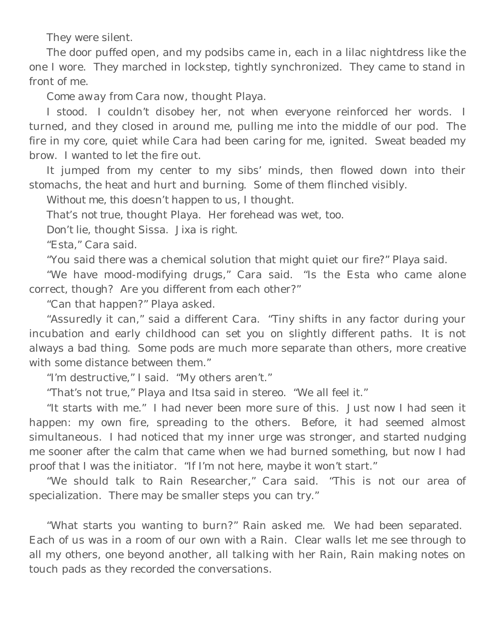They were silent.

The door puffed open, and my podsibs came in, each in a lilac nightdress like the one I wore. They marched in lockstep, tightly synchronized. They came to stand in front of me.

*Come away from Cara now*, thought Playa.

I stood. I couldn't disobey her, not when everyone reinforced her words. I turned, and they closed in around me, pulling me into the middle of our pod. The fire in my core, quiet while Cara had been caring for me, ignited. Sweat beaded my brow. I wanted to let the fire out.

It jumped from my center to my sibs' minds, then flowed down into their stomachs, the heat and hurt and burning. Some of them flinched visibly.

*Without me, this doesn't happen to us,* I thought.

*That's not true,* thought Playa. Her forehead was wet, too.

*Don't lie*, thought Sissa. *Jixa is right.*

"Esta," Cara said.

"You said there was a chemical solution that might quiet our fire?" Playa said.

"We have mood-modifying drugs," Cara said. "Is the Esta who came alone correct, though? Are you different from each other?"

"Can that happen?" Playa asked.

"Assuredly it can," said a different Cara. "Tiny shifts in any factor during your incubation and early childhood can set you on slightly different paths. It is not always a bad thing. Some pods are much more separate than others, more creative with some distance between them."

"I'm destructive," I said. "My others aren't."

"That's not true," Playa and Itsa said in stereo. "We all feel it."

"It starts with me." I had never been more sure of this. Just now I had seen it happen: my own fire, spreading to the others. Before, it had seemed almost simultaneous. I had noticed that my inner urge was stronger, and started nudging me sooner after the calm that came when we had burned something, but now I had proof that I was the initiator. "If I'm not here, maybe it won't start."

"We should talk to Rain Researcher," Cara said. "This is not our area of specialization. There may be smaller steps you can try."

"What starts you wanting to burn?" Rain asked me. We had been separated. Each of us was in a room of our own with a Rain. Clear walls let me see through to all my others, one beyond another, all talking with her Rain, Rain making notes on touch pads as they recorded the conversations.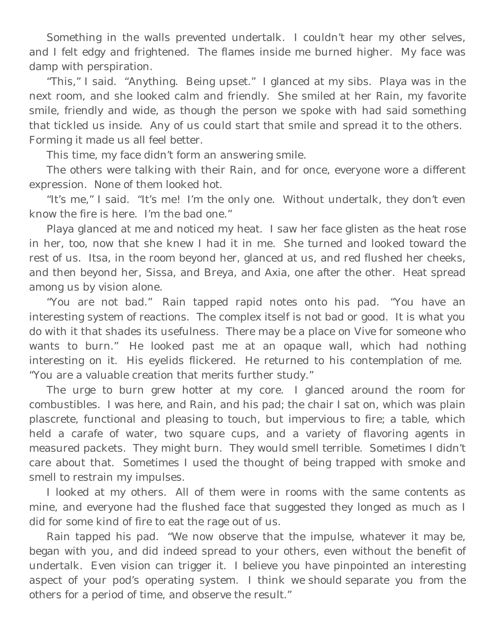Something in the walls prevented undertalk. I couldn't hear my other selves, and I felt edgy and frightened. The flames inside me burned higher. My face was damp with perspiration.

"This," I said. "Anything. Being upset." I glanced at my sibs. Playa was in the next room, and she looked calm and friendly. She smiled at her Rain, my favorite smile, friendly and wide, as though the person we spoke with had said something that tickled us inside. Any of us could start that smile and spread it to the others. Forming it made us all feel better.

This time, my face didn't form an answering smile.

The others were talking with their Rain, and for once, everyone wore a different expression. None of them looked hot.

"It's me," I said. "It's me! I'm the only one. Without undertalk, they don't even know the fire is here. I'm the bad one."

Playa glanced at me and noticed my heat. I saw her face glisten as the heat rose in her, too, now that she knew I had it in me. She turned and looked toward the rest of us. Itsa, in the room beyond her, glanced at us, and red flushed her cheeks, and then beyond her, Sissa, and Breya, and Axia, one after the other. Heat spread among us by vision alone.

"You are not bad." Rain tapped rapid notes onto his pad. "You have an interesting system of reactions. The complex itself is not bad or good. It is what you do with it that shades its usefulness. There may be a place on Vive for someone who wants to burn." He looked past me at an opaque wall, which had nothing interesting on it. His eyelids flickered. He returned to his contemplation of me. "You are a valuable creation that merits further study."

The urge to burn grew hotter at my core. I glanced around the room for combustibles. I was here, and Rain, and his pad; the chair I sat on, which was plain plascrete, functional and pleasing to touch, but impervious to fire; a table, which held a carafe of water, two square cups, and a variety of flavoring agents in measured packets. They might burn. They would smell terrible. Sometimes I didn't care about that. Sometimes I used the thought of being trapped with smoke and smell to restrain my impulses.

I looked at my others. All of them were in rooms with the same contents as mine, and everyone had the flushed face that suggested they longed as much as I did for some kind of fire to eat the rage out of us.

Rain tapped his pad. "We now observe that the impulse, whatever it may be, began with you, and did indeed spread to your others, even without the benefit of undertalk. Even vision can trigger it. I believe you have pinpointed an interesting aspect of your pod's operating system. I think we *should* separate you from the others for a period of time, and observe the result."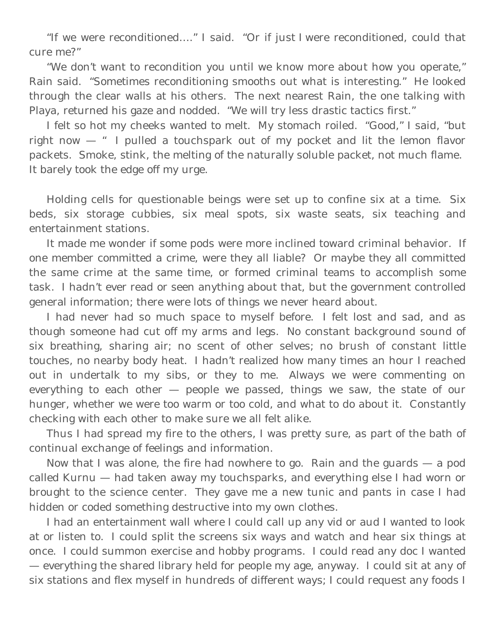"If we were reconditioned…." I said. "Or if just *I* were reconditioned, could that cure me?"

"We don't want to recondition you until we know more about how you operate," Rain said. "Sometimes reconditioning smooths out what is interesting." He looked through the clear walls at his others. The next nearest Rain, the one talking with Playa, returned his gaze and nodded. "We will try less drastic tactics first."

I felt so hot my cheeks wanted to melt. My stomach roiled. "Good," I said, "but right now — " I pulled a touchspark out of my pocket and lit the lemon flavor packets. Smoke, stink, the melting of the naturally soluble packet, not much flame. It barely took the edge off my urge.

Holding cells for questionable beings were set up to confine six at a time. Six beds, six storage cubbies, six meal spots, six waste seats, six teaching and entertainment stations.

It made me wonder if some pods were more inclined toward criminal behavior. If one member committed a crime, were they all liable? Or maybe they all committed the same crime at the same time, or formed criminal teams to accomplish some task. I hadn't ever read or seen anything about that, but the government controlled general information; there were lots of things we never heard about.

I had never had so much space to myself before. I felt lost and sad, and as though someone had cut off my arms and legs. No constant background sound of six breathing, sharing air; no scent of other selves; no brush of constant little touches, no nearby body heat. I hadn't realized how many times an hour I reached out in undertalk to my sibs, or they to me. Always we were commenting on everything to each other — people we passed, things we saw, the state of our hunger, whether we were too warm or too cold, and what to do about it. Constantly checking with each other to make sure we all felt alike.

Thus I had spread my fire to the others, I was pretty sure, as part of the bath of continual exchange of feelings and information.

Now that I was alone, the fire had nowhere to go. Rain and the guards — a pod called Kurnu — had taken away my touchsparks, and everything else I had worn or brought to the science center. They gave me a new tunic and pants in case I had hidden or coded something destructive into my own clothes.

I had an entertainment wall where I could call up any vid or aud I wanted to look at or listen to. I could split the screens six ways and watch and hear six things at once. I could summon exercise and hobby programs. I could read any doc I wanted — everything the shared library held for people my age, anyway. I could sit at any of six stations and flex myself in hundreds of different ways; I could request any foods I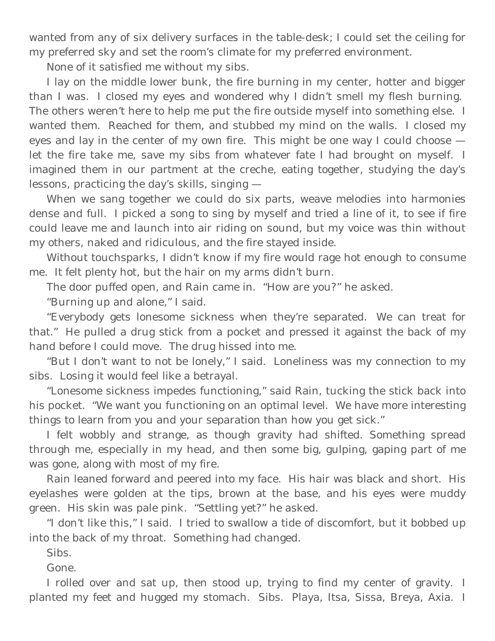wanted from any of six delivery surfaces in the table-desk; I could set the ceiling for my preferred sky and set the room's climate for my preferred environment.

None of it satisfied me without my sibs.

I lay on the middle lower bunk, the fire burning in my center, hotter and bigger than I was. I closed my eyes and wondered why I didn't smell my flesh burning. The others weren't here to help me put the fire outside myself into something else. I wanted them. Reached for them, and stubbed my mind on the walls. I closed my eyes and lay in the center of my own fire. This might be one way I could choose let the fire take me, save my sibs from whatever fate I had brought on myself. I imagined them in our partment at the creche, eating together, studying the day's lessons, practicing the day's skills, singing —

When we sang together we could do six parts, weave melodies into harmonies dense and full. I picked a song to sing by myself and tried a line of it, to see if fire could leave me and launch into air riding on sound, but my voice was thin without my others, naked and ridiculous, and the fire stayed inside.

Without touchsparks, I didn't know if my fire would rage hot enough to consume me. It felt plenty hot, but the hair on my arms didn't burn.

The door puffed open, and Rain came in. "How are you?" he asked.

"Burning up and alone," I said.

"Everybody gets lonesome sickness when they're separated. We can treat for that." He pulled a drug stick from a pocket and pressed it against the back of my hand before I could move. The drug hissed into me.

"But I don't want to not be lonely," I said. Loneliness was my connection to my sibs. Losing it would feel like a betrayal.

"Lonesome sickness impedes functioning," said Rain, tucking the stick back into his pocket. "We want you functioning on an optimal level. We have more interesting things to learn from you and your separation than how you get sick."

I felt wobbly and strange, as though gravity had shifted. Something spread through me, especially in my head, and then some big, gulping, gaping part of me was gone, along with most of my fire.

Rain leaned forward and peered into my face. His hair was black and short. His eyelashes were golden at the tips, brown at the base, and his eyes were muddy green. His skin was pale pink. "Settling yet?" he asked.

"I don't like this," I said. I tried to swallow a tide of discomfort, but it bobbed up into the back of my throat. Something had changed.

Sibs.

Gone.

I rolled over and sat up, then stood up, trying to find my center of gravity. I planted my feet and hugged my stomach. Sibs. Playa, Itsa, Sissa, Breya, Axia. I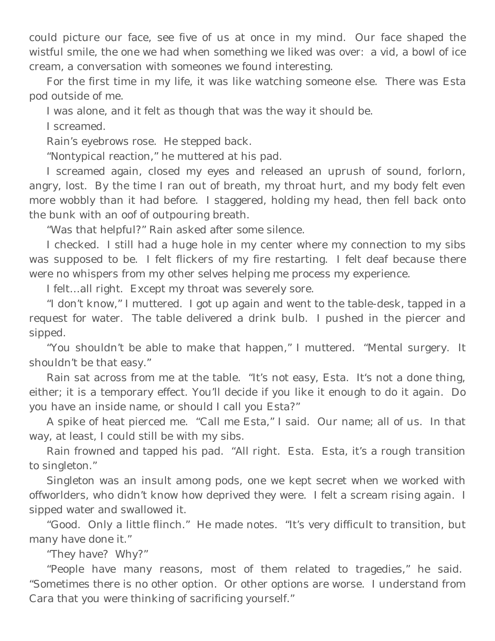could picture our face, see five of us at once in my mind. Our face shaped the wistful smile, the one we had when something we liked was over: a vid, a bowl of ice cream, a conversation with someones we found interesting.

For the first time in my life, it was like watching someone else. There was Esta pod outside of me.

I was alone, and it felt as though that was the way it should be.

I screamed.

Rain's eyebrows rose. He stepped back.

"Nontypical reaction," he muttered at his pad.

I screamed again, closed my eyes and released an uprush of sound, forlorn, angry, lost. By the time I ran out of breath, my throat hurt, and my body felt even more wobbly than it had before. I staggered, holding my head, then fell back onto the bunk with an oof of outpouring breath.

"Was that helpful?" Rain asked after some silence.

I checked. I still had a huge hole in my center where my connection to my sibs was supposed to be. I felt flickers of my fire restarting. I felt deaf because there were no whispers from my other selves helping me process my experience.

I felt…all right. Except my throat was severely sore.

"I don't know," I muttered. I got up again and went to the table-desk, tapped in a request for water. The table delivered a drink bulb. I pushed in the piercer and sipped.

"You shouldn't be able to make that happen," I muttered. "Mental surgery. It shouldn't be that easy."

Rain sat across from me at the table. "It's not easy, Esta. It's not a done thing, either; it is a temporary effect. You'll decide if you like it enough to do it again. Do you have an inside name, or should I call you Esta?"

A spike of heat pierced me. "Call me Esta," I said. Our name; all of us. In that way, at least, I could still be with my sibs.

Rain frowned and tapped his pad. "All right. Esta. Esta, it's a rough transition to singleton."

Singleton was an insult among pods, one we kept secret when we worked with offworlders, who didn't know how deprived they were. I felt a scream rising again. I sipped water and swallowed it.

"Good. Only a little flinch." He made notes. "It's very difficult to transition, but many have done it."

"They have? Why?"

"People have many reasons, most of them related to tragedies," he said. "Sometimes there is no other option. Or other options are worse. I understand from Cara that you were thinking of sacrificing yourself."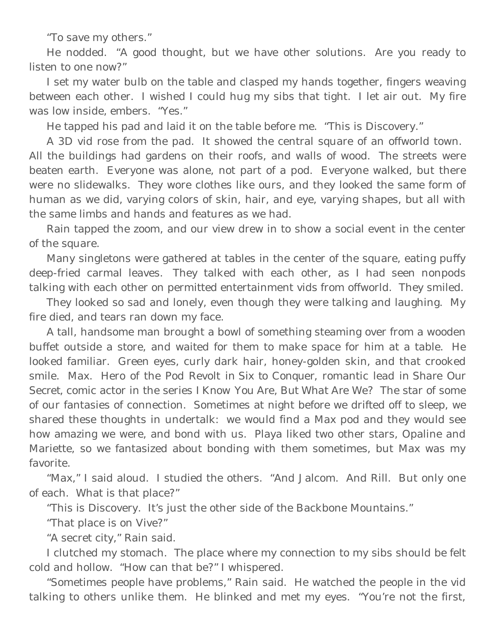"To save my others."

He nodded. "A good thought, but we have other solutions. Are you ready to listen to one now?"

I set my water bulb on the table and clasped my hands together, fingers weaving between each other. I wished I could hug my sibs that tight. I let air out. My fire was low inside, embers. "Yes."

He tapped his pad and laid it on the table before me. "This is Discovery."

A 3D vid rose from the pad. It showed the central square of an offworld town. All the buildings had gardens on their roofs, and walls of wood. The streets were beaten earth. Everyone was alone, not part of a pod. Everyone walked, but there were no slidewalks. They wore clothes like ours, and they looked the same form of human as we did, varying colors of skin, hair, and eye, varying shapes, but all with the same limbs and hands and features as we had.

Rain tapped the zoom, and our view drew in to show a social event in the center of the square.

Many singletons were gathered at tables in the center of the square, eating puffy deep-fried carmal leaves. They talked with each other, as I had seen nonpods talking with each other on permitted entertainment vids from offworld. They smiled.

They looked so sad and lonely, even though they were talking and laughing. My fire died, and tears ran down my face.

A tall, handsome man brought a bowl of something steaming over from a wooden buffet outside a store, and waited for them to make space for him at a table. He looked familiar. Green eyes, curly dark hair, honey-golden skin, and that crooked smile. Max. Hero of the Pod Revolt in *Six to Conquer*, romantic lead in *Share Our Secret,* comic actor in the series *I Know You Are, But What Are We?* The star of some of our fantasies of connection. Sometimes at night before we drifted off to sleep, we shared these thoughts in undertalk: we would find a Max pod and they would see how amazing we were, and bond with us. Playa liked two other stars, Opaline and Mariette, so we fantasized about bonding with them sometimes, but Max was my favorite.

"Max," I said aloud. I studied the others. "And Jalcom. And Rill. But only one of each. What is that place?"

"This is Discovery. It's just the other side of the Backbone Mountains."

"That place is on Vive?"

"A secret city," Rain said.

I clutched my stomach. The place where my connection to my sibs should be felt cold and hollow. "How can that be?" I whispered.

"Sometimes people have problems," Rain said. He watched the people in the vid talking to others unlike them. He blinked and met my eyes. "You're not the first,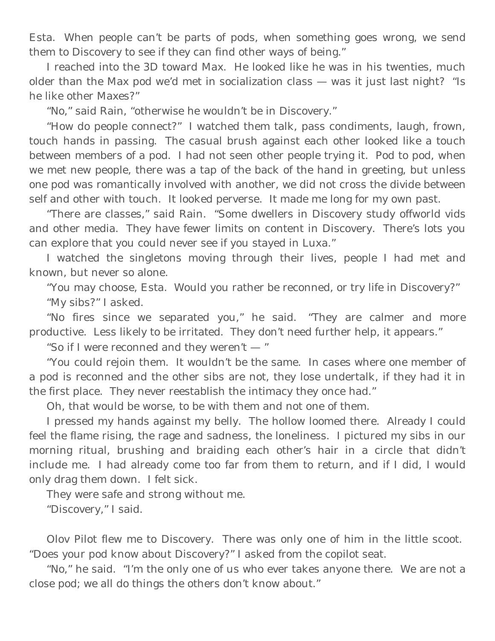Esta. When people can't be parts of pods, when something goes wrong, we send them to Discovery to see if they can find other ways of being."

I reached into the 3D toward Max. He looked like he was in his twenties, much older than the Max pod we'd met in socialization class — was it just last night? "Is he like other Maxes?"

"No," said Rain, "otherwise he wouldn't be in Discovery."

"How do people connect?" I watched them talk, pass condiments, laugh, frown, touch hands in passing. The casual brush against each other looked like a touch between members of a pod. I had not seen other people trying it. Pod to pod, when we met new people, there was a tap of the back of the hand in greeting, but unless one pod was romantically involved with another, we did not cross the divide between self and other with touch. It looked perverse. It made me long for my own past.

"There are classes," said Rain. "Some dwellers in Discovery study offworld vids and other media. They have fewer limits on content in Discovery. There's lots you can explore that you could never see if you stayed in Luxa."

I watched the singletons moving through their lives, people I had met and known, but never so alone.

"You may choose, Esta. Would you rather be reconned, or try life in Discovery?" "My sibs?" I asked.

"No fires since we separated you," he said. "They are calmer and more productive. Less likely to be irritated. They don't need further help, it appears."

"So if I were reconned and they weren't — "

"You could rejoin them. It wouldn't be the same. In cases where one member of a pod is reconned and the other sibs are not, they lose undertalk, if they had it in the first place. They never reestablish the intimacy they once had."

Oh, that would be worse, to be with them and not one of them.

I pressed my hands against my belly. The hollow loomed there. Already I could feel the flame rising, the rage and sadness, the loneliness. I pictured my sibs in our morning ritual, brushing and braiding each other's hair in a circle that didn't include me. I had already come too far from them to return, and if I did, I would only drag them down. I felt sick.

They were safe and strong without me.

"Discovery," I said.

Olov Pilot flew me to Discovery. There was only one of him in the little scoot. "Does your pod know about Discovery?" I asked from the copilot seat.

"No," he said. "I'm the only one of us who ever takes anyone there. We are not a close pod; we all do things the others don't know about."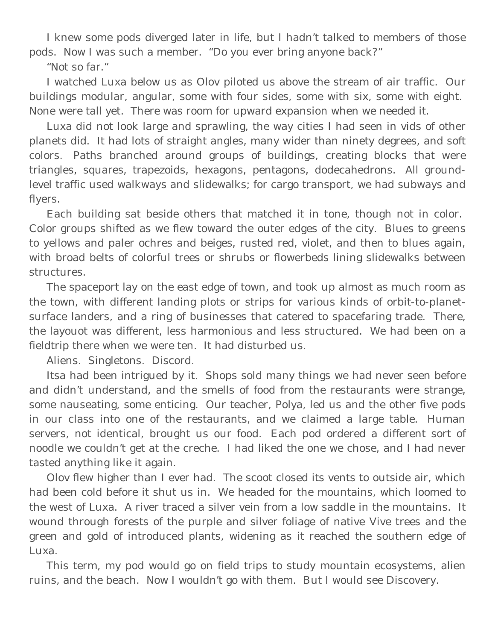I knew some pods diverged later in life, but I hadn't talked to members of those pods. Now I was such a member. "Do you ever bring anyone back?"

"Not so far."

I watched Luxa below us as Olov piloted us above the stream of air traffic. Our buildings modular, angular, some with four sides, some with six, some with eight. None were tall yet. There was room for upward expansion when we needed it.

Luxa did not look large and sprawling, the way cities I had seen in vids of other planets did. It had lots of straight angles, many wider than ninety degrees, and soft colors. Paths branched around groups of buildings, creating blocks that were triangles, squares, trapezoids, hexagons, pentagons, dodecahedrons. All groundlevel traffic used walkways and slidewalks; for cargo transport, we had subways and flyers.

Each building sat beside others that matched it in tone, though not in color. Color groups shifted as we flew toward the outer edges of the city. Blues to greens to yellows and paler ochres and beiges, rusted red, violet, and then to blues again, with broad belts of colorful trees or shrubs or flowerbeds lining slidewalks between structures.

The spaceport lay on the east edge of town, and took up almost as much room as the town, with different landing plots or strips for various kinds of orbit-to-planetsurface landers, and a ring of businesses that catered to spacefaring trade. There, the layouot was different, less harmonious and less structured. We had been on a fieldtrip there when we were ten. It had disturbed us.

Aliens. Singletons. Discord.

Itsa had been intrigued by it. Shops sold many things we had never seen before and didn't understand, and the smells of food from the restaurants were strange, some nauseating, some enticing. Our teacher, Polya, led us and the other five pods in our class into one of the restaurants, and we claimed a large table. Human servers, not identical, brought us our food. Each pod ordered a different sort of noodle we couldn't get at the creche. I had liked the one we chose, and I had never tasted anything like it again.

Olov flew higher than I ever had. The scoot closed its vents to outside air, which had been cold before it shut us in. We headed for the mountains, which loomed to the west of Luxa. A river traced a silver vein from a low saddle in the mountains. It wound through forests of the purple and silver foliage of native Vive trees and the green and gold of introduced plants, widening as it reached the southern edge of Luxa.

This term, my pod would go on field trips to study mountain ecosystems, alien ruins, and the beach. Now I wouldn't go with them. But I would see Discovery.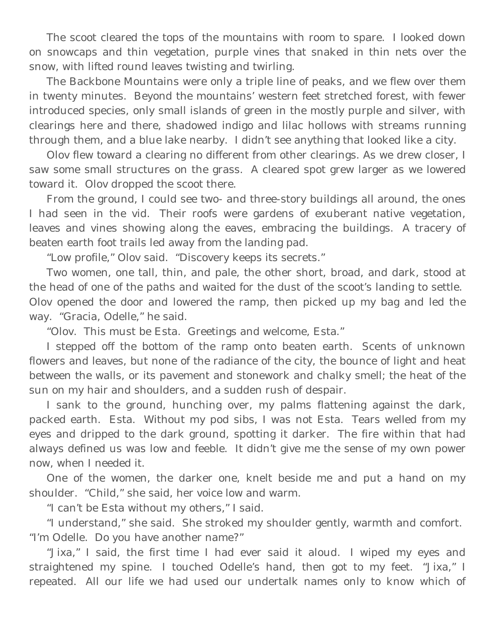The scoot cleared the tops of the mountains with room to spare. I looked down on snowcaps and thin vegetation, purple vines that snaked in thin nets over the snow, with lifted round leaves twisting and twirling.

The Backbone Mountains were only a triple line of peaks, and we flew over them in twenty minutes. Beyond the mountains' western feet stretched forest, with fewer introduced species, only small islands of green in the mostly purple and silver, with clearings here and there, shadowed indigo and lilac hollows with streams running through them, and a blue lake nearby. I didn't see anything that looked like a city.

Olov flew toward a clearing no different from other clearings. As we drew closer, I saw some small structures on the grass. A cleared spot grew larger as we lowered toward it. Olov dropped the scoot there.

From the ground, I could see two- and three-story buildings all around, the ones I had seen in the vid. Their roofs were gardens of exuberant native vegetation, leaves and vines showing along the eaves, embracing the buildings. A tracery of beaten earth foot trails led away from the landing pad.

"Low profile," Olov said. "Discovery keeps its secrets."

Two women, one tall, thin, and pale, the other short, broad, and dark, stood at the head of one of the paths and waited for the dust of the scoot's landing to settle. Olov opened the door and lowered the ramp, then picked up my bag and led the way. "Gracia, Odelle," he said.

"Olov. This must be Esta. Greetings and welcome, Esta."

I stepped off the bottom of the ramp onto beaten earth. Scents of unknown flowers and leaves, but none of the radiance of the city, the bounce of light and heat between the walls, or its pavement and stonework and chalky smell; the heat of the sun on my hair and shoulders, and a sudden rush of despair.

I sank to the ground, hunching over, my palms flattening against the dark, packed earth. Esta. Without my pod sibs, I was not Esta. Tears welled from my eyes and dripped to the dark ground, spotting it darker. The fire within that had always defined us was low and feeble. It didn't give me the sense of my own power now, when I needed it.

One of the women, the darker one, knelt beside me and put a hand on my shoulder. "Child," she said, her voice low and warm.

"I can't be Esta without my others," I said.

"I understand," she said. She stroked my shoulder gently, warmth and comfort. "I'm Odelle. Do you have another name?"

"Jixa," I said, the first time I had ever said it aloud. I wiped my eyes and straightened my spine. I touched Odelle's hand, then got to my feet. "Jixa," I repeated. All our life we had used our undertalk names only to know which of